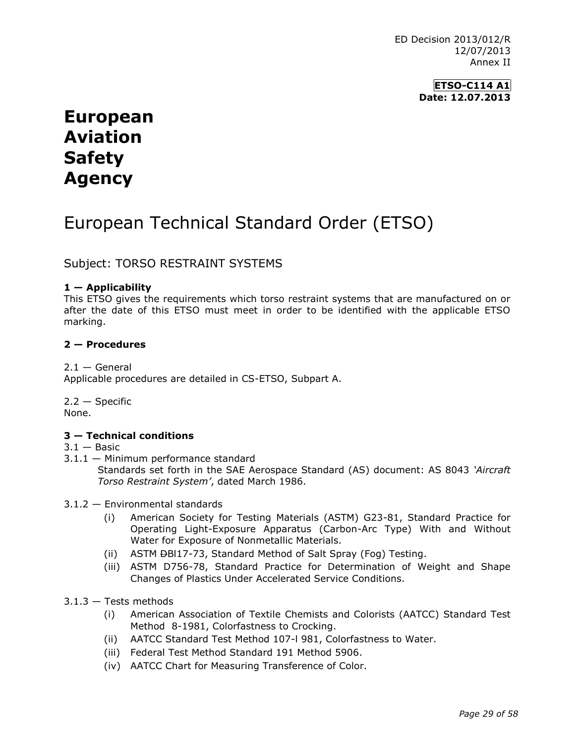ED Decision 2013/012/R 12/07/2013 Annex II

> **ETSO-C114 A1 Date: 12.07.2013**

# **European Aviation Safety Agency**

# European Technical Standard Order (ETSO)

## Subject: TORSO RESTRAINT SYSTEMS

#### **1 — Applicability**

This ETSO gives the requirements which torso restraint systems that are manufactured on or after the date of this ETSO must meet in order to be identified with the applicable ETSO marking.

#### **2 — Procedures**

#### $2.1 -$  General

Applicable procedures are detailed in CS-ETSO, Subpart A.

2.2 — Specific None.

#### **3 — Technical conditions**

#### $3.1 -$ Basic

- 3.1.1 Minimum performance standard Standards set forth in the SAE Aerospace Standard (AS) document: AS 8043 *'Aircraft Torso Restraint System'*, dated March 1986.
- 3.1.2 Environmental standards
	- (i) American Society for Testing Materials (ASTM) G23-81, Standard Practice for Operating Light-Exposure Apparatus (Carbon-Arc Type) With and Without Water for Exposure of Nonmetallic Materials.
	- (ii) ASTM <del>D</del>BI17-73, Standard Method of Salt Spray (Fog) Testing.
	- (iii) ASTM D756-78, Standard Practice for Determination of Weight and Shape Changes of Plastics Under Accelerated Service Conditions.
- $3.1.3$  Tests methods
	- (i) American Association of Textile Chemists and Colorists (AATCC) Standard Test Method 8-1981, Colorfastness to Crocking.
	- (ii) AATCC Standard Test Method 107-l 981, Colorfastness to Water.
	- (iii) Federal Test Method Standard 191 Method 5906.
	- (iv) AATCC Chart for Measuring Transference of Color.